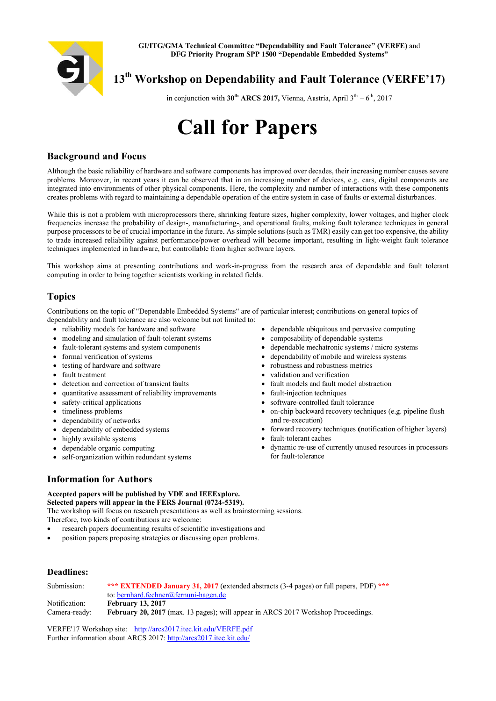

# 13<sup>th</sup> Workshop on Dependability and Fault Tolerance (VERFE'17)

in conjunction with 30<sup>th</sup> ARCS 2017, Vienna, Austria, April  $3^{th} - 6^{th}$ , 2017

# **Call for Papers**

## **Background and Focus**

Although the basic reliability of hardware and software components has improved over decades their increasing number causes severe problems. Moreover, in recent years it can be observed that in an increasing number of devices, e.g. cars, digital components are integrated into environments of other physical components. Here, the complexity and number of interactions with these components creates problems with regard to maintaining a dependable operation of the entire system in case of faults or external disturbances.

While this is not a problem with microprocessors there, shrinking feature sizes, higher complexity, lower voltages, and higher clock frequencies increase the probability of design-, manufacturing-, and operational faults, making fault tolerance techniques in general purpose processors to be of crucial importance in the future. As simple solutions (such as TMR) easily can get too expensive, the ability to trade increased reliability against performance/power overhead will become important, resulting in light-weight fault tolerance techniques implemented in hardware, but controllable from higher software layers.

This workshop aims at presenting contributions and work-in-progress from the research area of dependable and fault tolerant computing in order to bring together scientists working in related fields.

# **Topics**

Contributions on the topic of "Dependable Embedded Systems" are of particular interest; contributions on general topics of dependability and fault tolerance are also welcome but not limited to:

- reliability models for hardware and software
- modeling and simulation of fault-tolerant systems
- fault-tolerant systems and system components
- formal verification of systems
- testing of hardware and software
- fault treatment
- detection and correction of transient faults
- quantitative assessment of reliability improvements
- safety-critical applications
- timeliness problems
- dependability of networks
- dependability of embedded systems
- highly available systems
- dependable organic computing
- self-organization within redundant systems
- dependable ubiquitous and pervasive computing
- composability of dependable systems
- dependable mechatronic systems / micro systems
- dependability of mobile and wireless systems
- robustness and robustness metrics
- validation and verification
- fault models and fault model abstraction
- fault-injection techniques  $\bullet$
- software-controlled fault tolerance
- $\bullet$ on-chip backward recovery techniques (e.g. pipeline flush and re-execution)
- forward recovery techniques (notification of higher layers)
- fault-tolerant caches
- dynamic re-use of currently unused resources in processors  $\bullet$ for fault-tolerance

# **Information for Authors**

#### Accepted papers will be published by VDE and IEEExplore. Selected papers will appear in the FERS Journal (0724-5319).

The workshop will focus on research presentations as well as brainstorming sessions. Therefore, two kinds of contributions are welcome:

- research papers documenting results of scientific investigations and
- position papers proposing strategies or discussing open problems.

### **Deadlines:**

| Submission:   | *** <b>EXTENDED January 31, 2017</b> (extended abstracts $(3-4 \text{ pages})$ or full papers, PDF) *** |
|---------------|---------------------------------------------------------------------------------------------------------|
|               | to: bernhard.fechner@fernuni-hagen.de                                                                   |
| Notification: | <b>February 13, 2017</b>                                                                                |
| Camera-ready: | February 20, 2017 (max. 13 pages); will appear in ARCS 2017 Workshop Proceedings.                       |

VERFE'17 Workshop site: http://arcs2017.itec.kit.edu/VERFE.pdf Further information about ARCS 2017: http://arcs2017.itec.kit.edu/